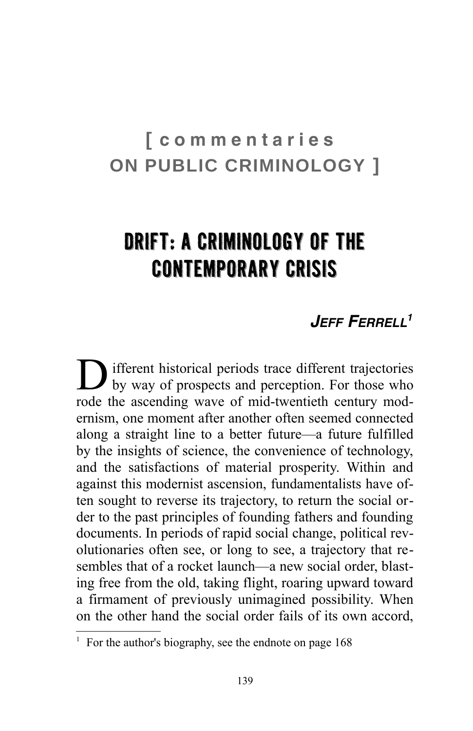# **[ c o m m e n t a r i e s ON PUBLIC CRIMINOLOGY ]**

# Drift: A Criminology of the Contemporary Crisis

## *JEFF FERRELL[1](#page-0-0)*

**D** ifferent historical periods trace different trajectories<br>by way of prospects and perception. For those who by way of prospects and perception. For those who rode the ascending wave of mid-twentieth century modernism, one moment after another often seemed connected along a straight line to a better future—a future fulfilled by the insights of science, the convenience of technology, and the satisfactions of material prosperity. Within and against this modernist ascension, fundamentalists have often sought to reverse its trajectory, to return the social order to the past principles of founding fathers and founding documents. In periods of rapid social change, political revolutionaries often see, or long to see, a trajectory that resembles that of a rocket launch—a new social order, blasting free from the old, taking flight, roaring upward toward a firmament of previously unimagined possibility. When on the other hand the social order fails of its own accord,

<span id="page-0-0"></span><sup>1</sup>For the author's biography, see the endnote on page 168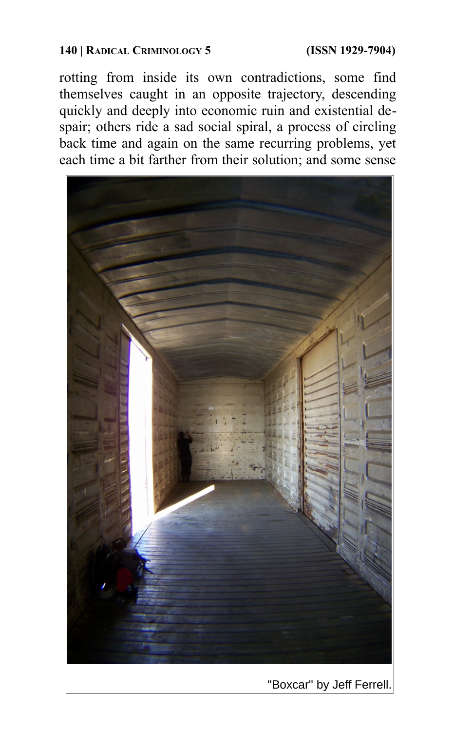### **140 | RADICAL CRIMINOLOGY 5 (ISSN 1929-7904)**

rotting from inside its own contradictions, some find themselves caught in an opposite trajectory, descending quickly and deeply into economic ruin and existential despair; others ride a sad social spiral, a process of circling back time and again on the same recurring problems, yet each time a bit farther from their solution; and some sense

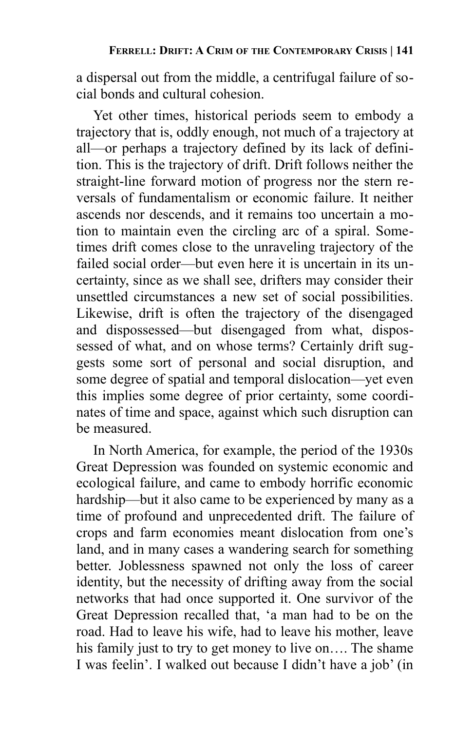a dispersal out from the middle, a centrifugal failure of social bonds and cultural cohesion.

Yet other times, historical periods seem to embody a trajectory that is, oddly enough, not much of a trajectory at all—or perhaps a trajectory defined by its lack of definition. This is the trajectory of drift. Drift follows neither the straight-line forward motion of progress nor the stern reversals of fundamentalism or economic failure. It neither ascends nor descends, and it remains too uncertain a motion to maintain even the circling arc of a spiral. Sometimes drift comes close to the unraveling trajectory of the failed social order—but even here it is uncertain in its uncertainty, since as we shall see, drifters may consider their unsettled circumstances a new set of social possibilities. Likewise, drift is often the trajectory of the disengaged and dispossessed—but disengaged from what, dispossessed of what, and on whose terms? Certainly drift suggests some sort of personal and social disruption, and some degree of spatial and temporal dislocation—yet even this implies some degree of prior certainty, some coordinates of time and space, against which such disruption can be measured.

In North America, for example, the period of the 1930s Great Depression was founded on systemic economic and ecological failure, and came to embody horrific economic hardship—but it also came to be experienced by many as a time of profound and unprecedented drift. The failure of crops and farm economies meant dislocation from one's land, and in many cases a wandering search for something better. Joblessness spawned not only the loss of career identity, but the necessity of drifting away from the social networks that had once supported it. One survivor of the Great Depression recalled that, 'a man had to be on the road. Had to leave his wife, had to leave his mother, leave his family just to try to get money to live on.... The shame I was feelin'. I walked out because I didn't have a job' (in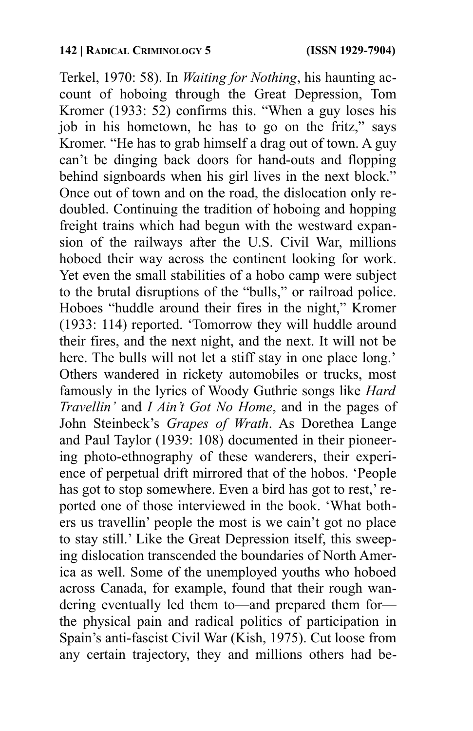Terkel, 1970: 58). In *Waiting for Nothing*, his haunting account of hoboing through the Great Depression, Tom Kromer (1933: 52) confirms this. "When a guy loses his job in his hometown, he has to go on the fritz," says Kromer. "He has to grab himself a drag out of town. A guy can't be dinging back doors for hand-outs and flopping behind signboards when his girl lives in the next block." Once out of town and on the road, the dislocation only redoubled. Continuing the tradition of hoboing and hopping freight trains which had begun with the westward expansion of the railways after the U.S. Civil War, millions hoboed their way across the continent looking for work. Yet even the small stabilities of a hobo camp were subject to the brutal disruptions of the "bulls," or railroad police. Hoboes "huddle around their fires in the night," Kromer (1933: 114) reported. 'Tomorrow they will huddle around their fires, and the next night, and the next. It will not be here. The bulls will not let a stiff stay in one place long.' Others wandered in rickety automobiles or trucks, most famously in the lyrics of Woody Guthrie songs like *Hard Travellin'* and *I Ain't Got No Home*, and in the pages of John Steinbeck's *Grapes of Wrath*. As Dorethea Lange and Paul Taylor (1939: 108) documented in their pioneering photo-ethnography of these wanderers, their experience of perpetual drift mirrored that of the hobos. 'People has got to stop somewhere. Even a bird has got to rest, reported one of those interviewed in the book. 'What bothers us travellin' people the most is we cain't got no place to stay still.' Like the Great Depression itself, this sweeping dislocation transcended the boundaries of North America as well. Some of the unemployed youths who hoboed across Canada, for example, found that their rough wandering eventually led them to—and prepared them for the physical pain and radical politics of participation in Spain's anti-fascist Civil War (Kish, 1975). Cut loose from any certain trajectory, they and millions others had be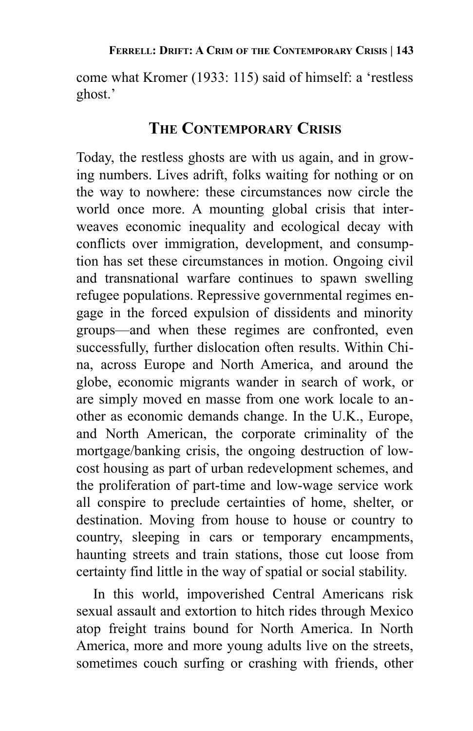come what Kromer (1933: 115) said of himself: a 'restless ghost.'

## **THE CONTEMPORARY CRISIS**

Today, the restless ghosts are with us again, and in growing numbers. Lives adrift, folks waiting for nothing or on the way to nowhere: these circumstances now circle the world once more. A mounting global crisis that interweaves economic inequality and ecological decay with conflicts over immigration, development, and consumption has set these circumstances in motion. Ongoing civil and transnational warfare continues to spawn swelling refugee populations. Repressive governmental regimes engage in the forced expulsion of dissidents and minority groups—and when these regimes are confronted, even successfully, further dislocation often results. Within China, across Europe and North America, and around the globe, economic migrants wander in search of work, or are simply moved en masse from one work locale to another as economic demands change. In the U.K., Europe, and North American, the corporate criminality of the mortgage/banking crisis, the ongoing destruction of lowcost housing as part of urban redevelopment schemes, and the proliferation of part-time and low-wage service work all conspire to preclude certainties of home, shelter, or destination. Moving from house to house or country to country, sleeping in cars or temporary encampments, haunting streets and train stations, those cut loose from certainty find little in the way of spatial or social stability.

In this world, impoverished Central Americans risk sexual assault and extortion to hitch rides through Mexico atop freight trains bound for North America. In North America, more and more young adults live on the streets, sometimes couch surfing or crashing with friends, other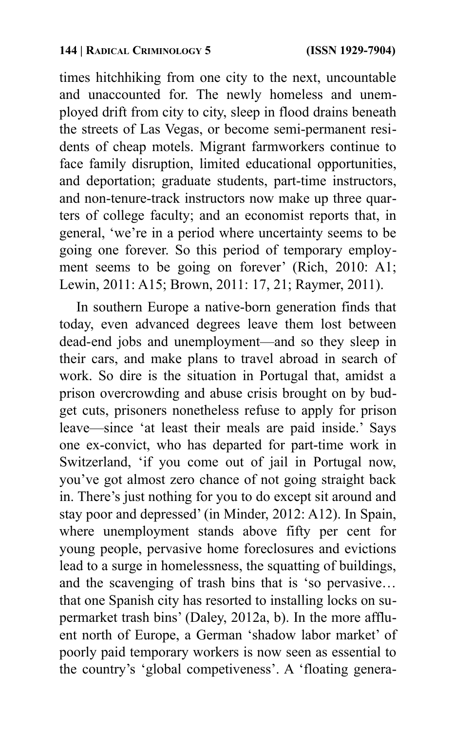times hitchhiking from one city to the next, uncountable and unaccounted for. The newly homeless and unemployed drift from city to city, sleep in flood drains beneath the streets of Las Vegas, or become semi-permanent residents of cheap motels. Migrant farmworkers continue to face family disruption, limited educational opportunities, and deportation; graduate students, part-time instructors, and non-tenure-track instructors now make up three quarters of college faculty; and an economist reports that, in general, 'we're in a period where uncertainty seems to be going one forever. So this period of temporary employment seems to be going on forever' (Rich, 2010: A1; Lewin, 2011: A15; Brown, 2011: 17, 21; Raymer, 2011).

In southern Europe a native-born generation finds that today, even advanced degrees leave them lost between dead-end jobs and unemployment—and so they sleep in their cars, and make plans to travel abroad in search of work. So dire is the situation in Portugal that, amidst a prison overcrowding and abuse crisis brought on by budget cuts, prisoners nonetheless refuse to apply for prison leave—since 'at least their meals are paid inside.' Says one ex-convict, who has departed for part-time work in Switzerland, 'if you come out of jail in Portugal now, you've got almost zero chance of not going straight back in. There's just nothing for you to do except sit around and stay poor and depressed' (in Minder, 2012: A12). In Spain, where unemployment stands above fifty per cent for young people, pervasive home foreclosures and evictions lead to a surge in homelessness, the squatting of buildings, and the scavenging of trash bins that is 'so pervasive… that one Spanish city has resorted to installing locks on supermarket trash bins' (Daley, 2012a, b). In the more affluent north of Europe, a German 'shadow labor market' of poorly paid temporary workers is now seen as essential to the country's 'global competiveness'. A 'floating genera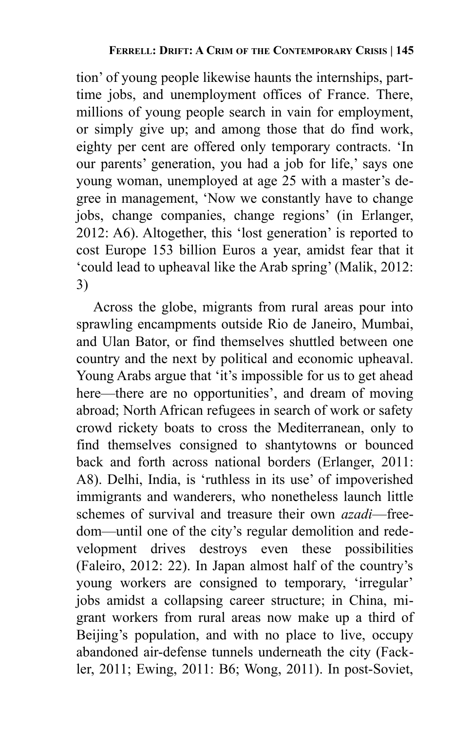tion' of young people likewise haunts the internships, parttime jobs, and unemployment offices of France. There, millions of young people search in vain for employment, or simply give up; and among those that do find work, eighty per cent are offered only temporary contracts. 'In our parents' generation, you had a job for life,' says one young woman, unemployed at age 25 with a master's degree in management, 'Now we constantly have to change jobs, change companies, change regions' (in Erlanger, 2012: A6). Altogether, this 'lost generation' is reported to cost Europe 153 billion Euros a year, amidst fear that it 'could lead to upheaval like the Arab spring' (Malik, 2012: 3)

Across the globe, migrants from rural areas pour into sprawling encampments outside Rio de Janeiro, Mumbai, and Ulan Bator, or find themselves shuttled between one country and the next by political and economic upheaval. Young Arabs argue that 'it's impossible for us to get ahead here—there are no opportunities', and dream of moving abroad; North African refugees in search of work or safety crowd rickety boats to cross the Mediterranean, only to find themselves consigned to shantytowns or bounced back and forth across national borders (Erlanger, 2011: A8). Delhi, India, is 'ruthless in its use' of impoverished immigrants and wanderers, who nonetheless launch little schemes of survival and treasure their own *azadi*—freedom—until one of the city's regular demolition and redevelopment drives destroys even these possibilities (Faleiro, 2012: 22). In Japan almost half of the country's young workers are consigned to temporary, 'irregular' jobs amidst a collapsing career structure; in China, migrant workers from rural areas now make up a third of Beijing's population, and with no place to live, occupy abandoned air-defense tunnels underneath the city (Fackler, 2011; Ewing, 2011: B6; Wong, 2011). In post-Soviet,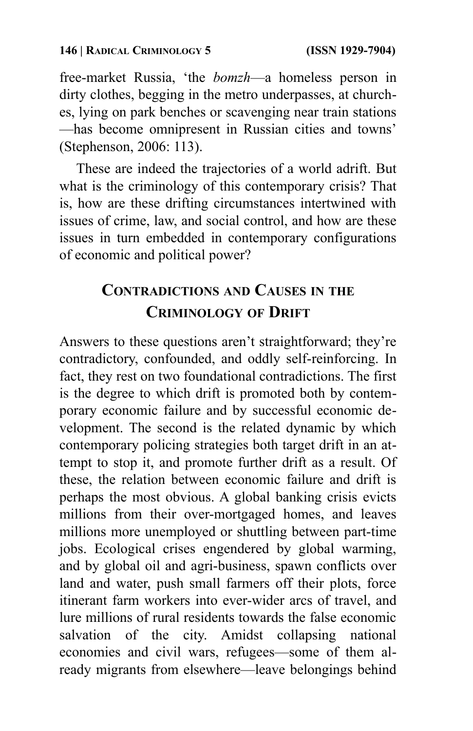free-market Russia, 'the *bomzh*—a homeless person in dirty clothes, begging in the metro underpasses, at churches, lying on park benches or scavenging near train stations —has become omnipresent in Russian cities and towns' (Stephenson, 2006: 113).

These are indeed the trajectories of a world adrift. But what is the criminology of this contemporary crisis? That is, how are these drifting circumstances intertwined with issues of crime, law, and social control, and how are these issues in turn embedded in contemporary configurations of economic and political power?

# **CONTRADICTIONS AND CAUSES IN THE CRIMINOLOGY OF DRIFT**

Answers to these questions aren't straightforward; they're contradictory, confounded, and oddly self-reinforcing. In fact, they rest on two foundational contradictions. The first is the degree to which drift is promoted both by contemporary economic failure and by successful economic development. The second is the related dynamic by which contemporary policing strategies both target drift in an attempt to stop it, and promote further drift as a result. Of these, the relation between economic failure and drift is perhaps the most obvious. A global banking crisis evicts millions from their over-mortgaged homes, and leaves millions more unemployed or shuttling between part-time jobs. Ecological crises engendered by global warming, and by global oil and agri-business, spawn conflicts over land and water, push small farmers off their plots, force itinerant farm workers into ever-wider arcs of travel, and lure millions of rural residents towards the false economic salvation of the city. Amidst collapsing national economies and civil wars, refugees—some of them already migrants from elsewhere—leave belongings behind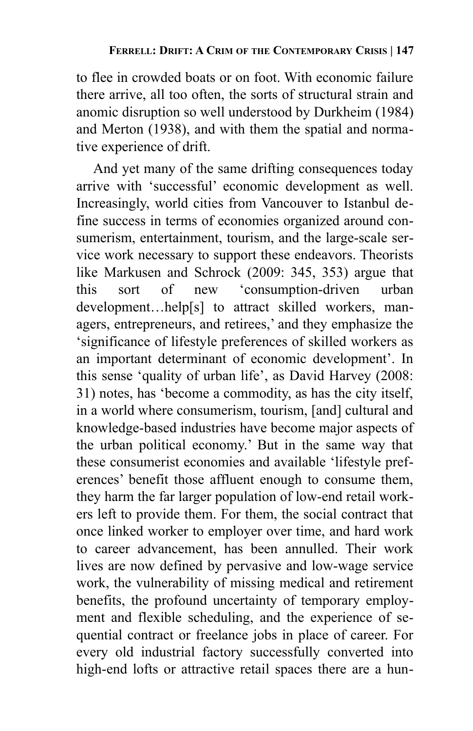to flee in crowded boats or on foot. With economic failure there arrive, all too often, the sorts of structural strain and anomic disruption so well understood by Durkheim (1984) and Merton (1938), and with them the spatial and normative experience of drift.

And yet many of the same drifting consequences today arrive with 'successful' economic development as well. Increasingly, world cities from Vancouver to Istanbul define success in terms of economies organized around consumerism, entertainment, tourism, and the large-scale service work necessary to support these endeavors. Theorists like Markusen and Schrock (2009: 345, 353) argue that this sort of new 'consumption-driven urban development…help[s] to attract skilled workers, managers, entrepreneurs, and retirees,' and they emphasize the 'significance of lifestyle preferences of skilled workers as an important determinant of economic development'. In this sense 'quality of urban life', as David Harvey (2008: 31) notes, has 'become a commodity, as has the city itself, in a world where consumerism, tourism, [and] cultural and knowledge-based industries have become major aspects of the urban political economy.' But in the same way that these consumerist economies and available 'lifestyle preferences' benefit those affluent enough to consume them, they harm the far larger population of low-end retail workers left to provide them. For them, the social contract that once linked worker to employer over time, and hard work to career advancement, has been annulled. Their work lives are now defined by pervasive and low-wage service work, the vulnerability of missing medical and retirement benefits, the profound uncertainty of temporary employment and flexible scheduling, and the experience of sequential contract or freelance jobs in place of career. For every old industrial factory successfully converted into high-end lofts or attractive retail spaces there are a hun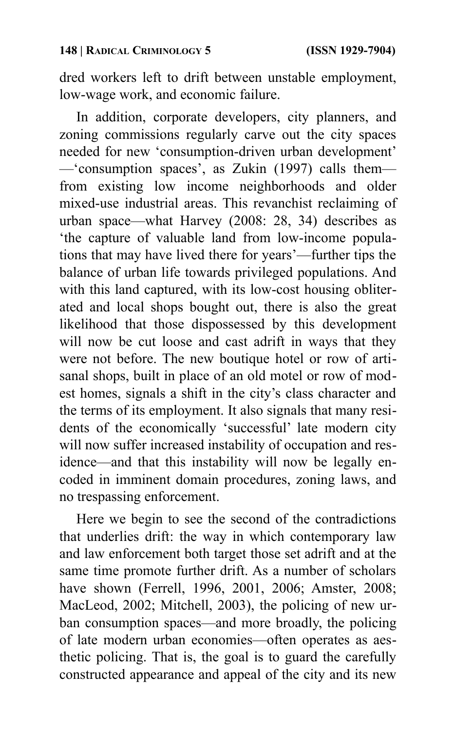dred workers left to drift between unstable employment, low-wage work, and economic failure.

In addition, corporate developers, city planners, and zoning commissions regularly carve out the city spaces needed for new 'consumption-driven urban development' —'consumption spaces', as Zukin (1997) calls them from existing low income neighborhoods and older mixed-use industrial areas. This revanchist reclaiming of urban space—what Harvey (2008: 28, 34) describes as 'the capture of valuable land from low-income populations that may have lived there for years'—further tips the balance of urban life towards privileged populations. And with this land captured, with its low-cost housing obliterated and local shops bought out, there is also the great likelihood that those dispossessed by this development will now be cut loose and cast adrift in ways that they were not before. The new boutique hotel or row of artisanal shops, built in place of an old motel or row of modest homes, signals a shift in the city's class character and the terms of its employment. It also signals that many residents of the economically 'successful' late modern city will now suffer increased instability of occupation and residence—and that this instability will now be legally encoded in imminent domain procedures, zoning laws, and no trespassing enforcement.

Here we begin to see the second of the contradictions that underlies drift: the way in which contemporary law and law enforcement both target those set adrift and at the same time promote further drift. As a number of scholars have shown (Ferrell, 1996, 2001, 2006; Amster, 2008; MacLeod, 2002; Mitchell, 2003), the policing of new urban consumption spaces—and more broadly, the policing of late modern urban economies—often operates as aesthetic policing. That is, the goal is to guard the carefully constructed appearance and appeal of the city and its new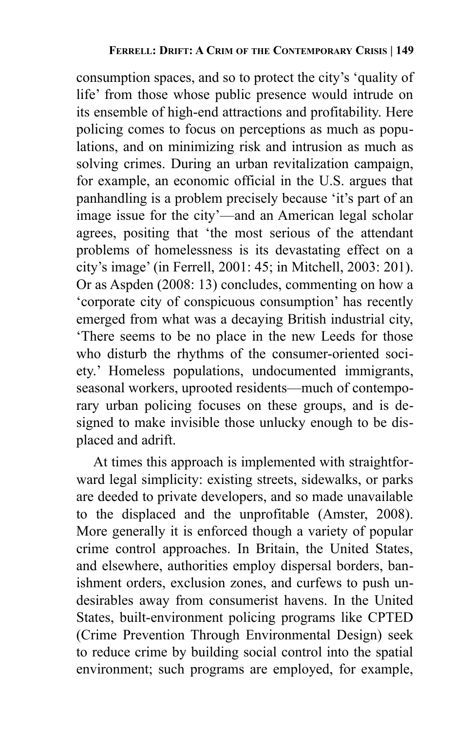consumption spaces, and so to protect the city's 'quality of life' from those whose public presence would intrude on its ensemble of high-end attractions and profitability. Here policing comes to focus on perceptions as much as populations, and on minimizing risk and intrusion as much as solving crimes. During an urban revitalization campaign, for example, an economic official in the U.S. argues that panhandling is a problem precisely because 'it's part of an image issue for the city'—and an American legal scholar agrees, positing that 'the most serious of the attendant problems of homelessness is its devastating effect on a city's image' (in Ferrell, 2001: 45; in Mitchell, 2003: 201). Or as Aspden (2008: 13) concludes, commenting on how a 'corporate city of conspicuous consumption' has recently emerged from what was a decaying British industrial city, 'There seems to be no place in the new Leeds for those who disturb the rhythms of the consumer-oriented society.' Homeless populations, undocumented immigrants, seasonal workers, uprooted residents—much of contemporary urban policing focuses on these groups, and is designed to make invisible those unlucky enough to be displaced and adrift.

At times this approach is implemented with straightforward legal simplicity: existing streets, sidewalks, or parks are deeded to private developers, and so made unavailable to the displaced and the unprofitable (Amster, 2008). More generally it is enforced though a variety of popular crime control approaches. In Britain, the United States, and elsewhere, authorities employ dispersal borders, banishment orders, exclusion zones, and curfews to push undesirables away from consumerist havens. In the United States, built-environment policing programs like CPTED (Crime Prevention Through Environmental Design) seek to reduce crime by building social control into the spatial environment; such programs are employed, for example,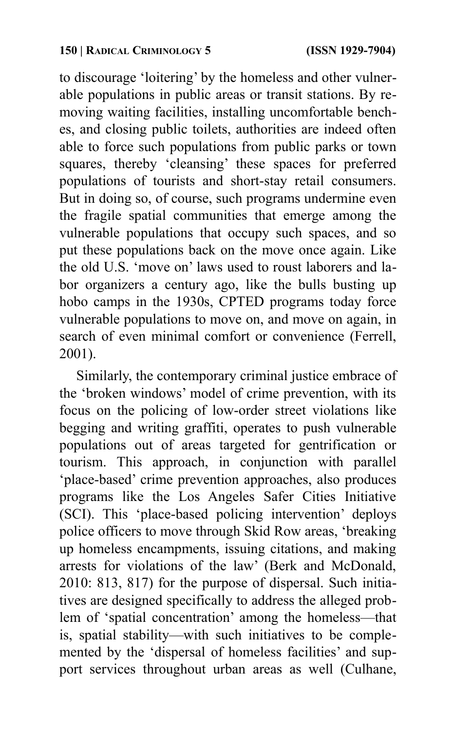to discourage 'loitering' by the homeless and other vulnerable populations in public areas or transit stations. By removing waiting facilities, installing uncomfortable benches, and closing public toilets, authorities are indeed often able to force such populations from public parks or town squares, thereby 'cleansing' these spaces for preferred populations of tourists and short-stay retail consumers. But in doing so, of course, such programs undermine even the fragile spatial communities that emerge among the vulnerable populations that occupy such spaces, and so put these populations back on the move once again. Like the old U.S. 'move on' laws used to roust laborers and labor organizers a century ago, like the bulls busting up hobo camps in the 1930s, CPTED programs today force vulnerable populations to move on, and move on again, in search of even minimal comfort or convenience (Ferrell, 2001).

Similarly, the contemporary criminal justice embrace of the 'broken windows' model of crime prevention, with its focus on the policing of low-order street violations like begging and writing graffiti, operates to push vulnerable populations out of areas targeted for gentrification or tourism. This approach, in conjunction with parallel 'place-based' crime prevention approaches, also produces programs like the Los Angeles Safer Cities Initiative (SCI). This 'place-based policing intervention' deploys police officers to move through Skid Row areas, 'breaking up homeless encampments, issuing citations, and making arrests for violations of the law' (Berk and McDonald, 2010: 813, 817) for the purpose of dispersal. Such initiatives are designed specifically to address the alleged problem of 'spatial concentration' among the homeless—that is, spatial stability—with such initiatives to be complemented by the 'dispersal of homeless facilities' and support services throughout urban areas as well (Culhane,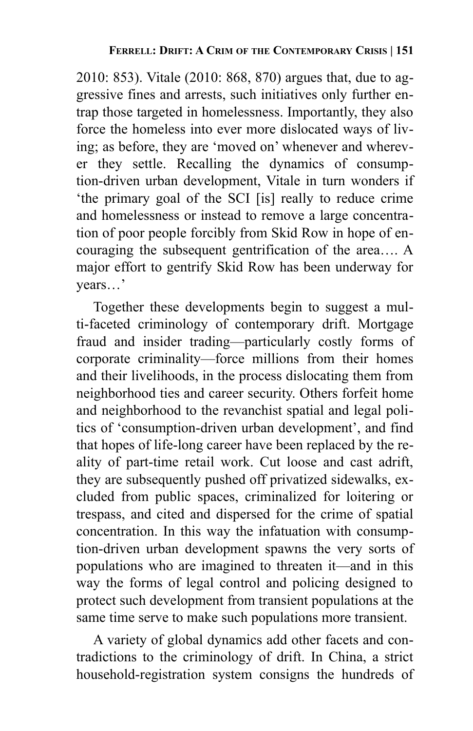2010: 853). Vitale (2010: 868, 870) argues that, due to aggressive fines and arrests, such initiatives only further entrap those targeted in homelessness. Importantly, they also force the homeless into ever more dislocated ways of living; as before, they are 'moved on' whenever and wherever they settle. Recalling the dynamics of consumption-driven urban development, Vitale in turn wonders if 'the primary goal of the SCI [is] really to reduce crime and homelessness or instead to remove a large concentration of poor people forcibly from Skid Row in hope of encouraging the subsequent gentrification of the area…. A major effort to gentrify Skid Row has been underway for years…'

Together these developments begin to suggest a multi-faceted criminology of contemporary drift. Mortgage fraud and insider trading—particularly costly forms of corporate criminality—force millions from their homes and their livelihoods, in the process dislocating them from neighborhood ties and career security. Others forfeit home and neighborhood to the revanchist spatial and legal politics of 'consumption-driven urban development', and find that hopes of life-long career have been replaced by the reality of part-time retail work. Cut loose and cast adrift, they are subsequently pushed off privatized sidewalks, excluded from public spaces, criminalized for loitering or trespass, and cited and dispersed for the crime of spatial concentration. In this way the infatuation with consumption-driven urban development spawns the very sorts of populations who are imagined to threaten it—and in this way the forms of legal control and policing designed to protect such development from transient populations at the same time serve to make such populations more transient.

A variety of global dynamics add other facets and contradictions to the criminology of drift. In China, a strict household-registration system consigns the hundreds of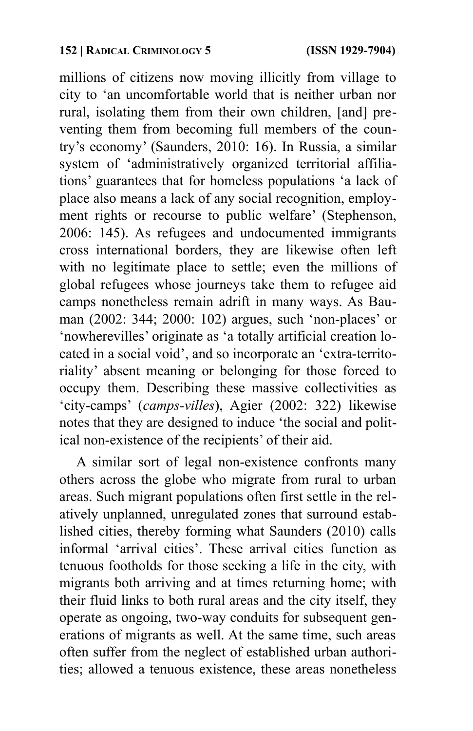millions of citizens now moving illicitly from village to city to 'an uncomfortable world that is neither urban nor rural, isolating them from their own children, [and] preventing them from becoming full members of the country's economy' (Saunders, 2010: 16). In Russia, a similar system of 'administratively organized territorial affiliations' guarantees that for homeless populations 'a lack of place also means a lack of any social recognition, employment rights or recourse to public welfare' (Stephenson, 2006: 145). As refugees and undocumented immigrants cross international borders, they are likewise often left with no legitimate place to settle; even the millions of global refugees whose journeys take them to refugee aid camps nonetheless remain adrift in many ways. As Bauman (2002: 344; 2000: 102) argues, such 'non-places' or 'nowherevilles' originate as 'a totally artificial creation located in a social void', and so incorporate an 'extra-territoriality' absent meaning or belonging for those forced to occupy them. Describing these massive collectivities as 'city-camps' (*camps-villes*), Agier (2002: 322) likewise notes that they are designed to induce 'the social and political non-existence of the recipients' of their aid.

A similar sort of legal non-existence confronts many others across the globe who migrate from rural to urban areas. Such migrant populations often first settle in the relatively unplanned, unregulated zones that surround established cities, thereby forming what Saunders (2010) calls informal 'arrival cities'. These arrival cities function as tenuous footholds for those seeking a life in the city, with migrants both arriving and at times returning home; with their fluid links to both rural areas and the city itself, they operate as ongoing, two-way conduits for subsequent generations of migrants as well. At the same time, such areas often suffer from the neglect of established urban authorities; allowed a tenuous existence, these areas nonetheless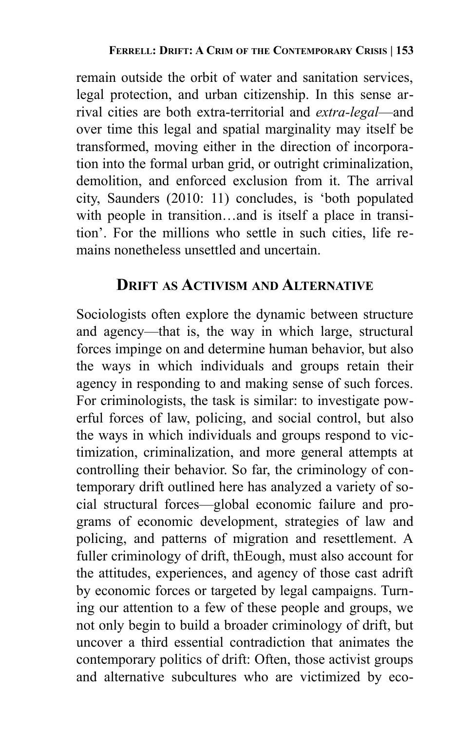remain outside the orbit of water and sanitation services, legal protection, and urban citizenship. In this sense arrival cities are both extra-territorial and *extra-legal*—and over time this legal and spatial marginality may itself be transformed, moving either in the direction of incorporation into the formal urban grid, or outright criminalization, demolition, and enforced exclusion from it. The arrival city, Saunders (2010: 11) concludes, is 'both populated with people in transition…and is itself a place in transition'. For the millions who settle in such cities, life remains nonetheless unsettled and uncertain.

## **DRIFT AS ACTIVISM AND ALTERNATIVE**

Sociologists often explore the dynamic between structure and agency—that is, the way in which large, structural forces impinge on and determine human behavior, but also the ways in which individuals and groups retain their agency in responding to and making sense of such forces. For criminologists, the task is similar: to investigate powerful forces of law, policing, and social control, but also the ways in which individuals and groups respond to victimization, criminalization, and more general attempts at controlling their behavior. So far, the criminology of contemporary drift outlined here has analyzed a variety of social structural forces—global economic failure and programs of economic development, strategies of law and policing, and patterns of migration and resettlement. A fuller criminology of drift, thEough, must also account for the attitudes, experiences, and agency of those cast adrift by economic forces or targeted by legal campaigns. Turning our attention to a few of these people and groups, we not only begin to build a broader criminology of drift, but uncover a third essential contradiction that animates the contemporary politics of drift: Often, those activist groups and alternative subcultures who are victimized by eco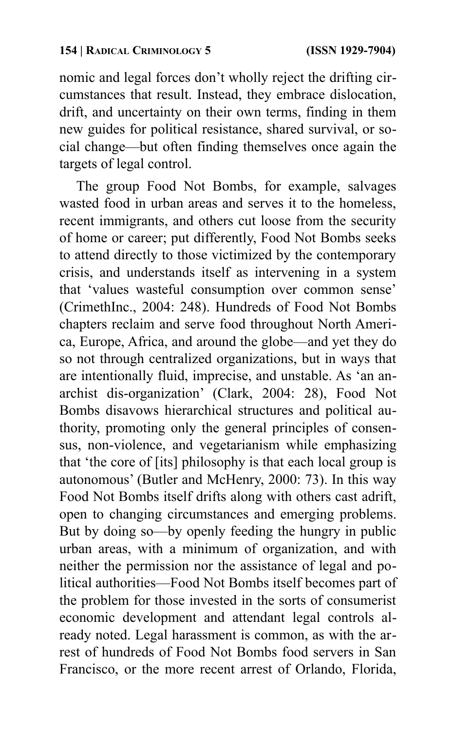nomic and legal forces don't wholly reject the drifting circumstances that result. Instead, they embrace dislocation, drift, and uncertainty on their own terms, finding in them new guides for political resistance, shared survival, or social change—but often finding themselves once again the targets of legal control.

The group Food Not Bombs, for example, salvages wasted food in urban areas and serves it to the homeless, recent immigrants, and others cut loose from the security of home or career; put differently, Food Not Bombs seeks to attend directly to those victimized by the contemporary crisis, and understands itself as intervening in a system that 'values wasteful consumption over common sense' (CrimethInc., 2004: 248). Hundreds of Food Not Bombs chapters reclaim and serve food throughout North America, Europe, Africa, and around the globe—and yet they do so not through centralized organizations, but in ways that are intentionally fluid, imprecise, and unstable. As 'an anarchist dis-organization' (Clark, 2004: 28), Food Not Bombs disavows hierarchical structures and political authority, promoting only the general principles of consensus, non-violence, and vegetarianism while emphasizing that 'the core of [its] philosophy is that each local group is autonomous' (Butler and McHenry, 2000: 73). In this way Food Not Bombs itself drifts along with others cast adrift, open to changing circumstances and emerging problems. But by doing so—by openly feeding the hungry in public urban areas, with a minimum of organization, and with neither the permission nor the assistance of legal and political authorities—Food Not Bombs itself becomes part of the problem for those invested in the sorts of consumerist economic development and attendant legal controls already noted. Legal harassment is common, as with the arrest of hundreds of Food Not Bombs food servers in San Francisco, or the more recent arrest of Orlando, Florida,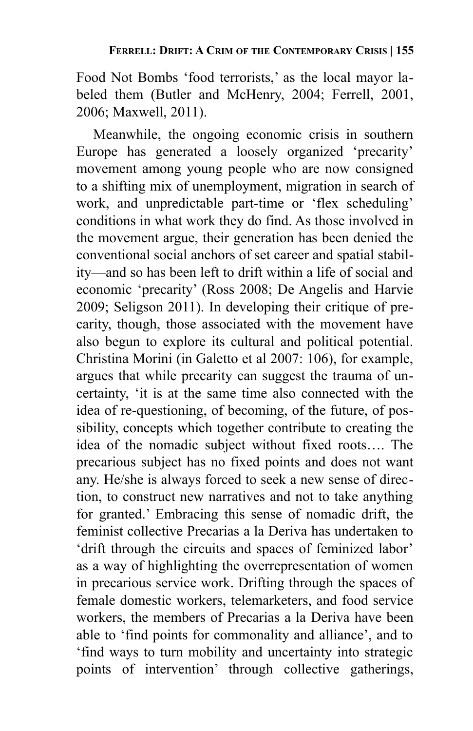Food Not Bombs 'food terrorists,' as the local mayor labeled them (Butler and McHenry, 2004; Ferrell, 2001, 2006; Maxwell, 2011).

Meanwhile, the ongoing economic crisis in southern Europe has generated a loosely organized 'precarity' movement among young people who are now consigned to a shifting mix of unemployment, migration in search of work, and unpredictable part-time or 'flex scheduling' conditions in what work they do find. As those involved in the movement argue, their generation has been denied the conventional social anchors of set career and spatial stability—and so has been left to drift within a life of social and economic 'precarity' (Ross 2008; De Angelis and Harvie 2009; Seligson 2011). In developing their critique of precarity, though, those associated with the movement have also begun to explore its cultural and political potential. Christina Morini (in Galetto et al 2007: 106), for example, argues that while precarity can suggest the trauma of uncertainty, 'it is at the same time also connected with the idea of re-questioning, of becoming, of the future, of possibility, concepts which together contribute to creating the idea of the nomadic subject without fixed roots…. The precarious subject has no fixed points and does not want any. He/she is always forced to seek a new sense of direction, to construct new narratives and not to take anything for granted.' Embracing this sense of nomadic drift, the feminist collective Precarias a la Deriva has undertaken to 'drift through the circuits and spaces of feminized labor' as a way of highlighting the overrepresentation of women in precarious service work. Drifting through the spaces of female domestic workers, telemarketers, and food service workers, the members of Precarias a la Deriva have been able to 'find points for commonality and alliance', and to 'find ways to turn mobility and uncertainty into strategic points of intervention' through collective gatherings,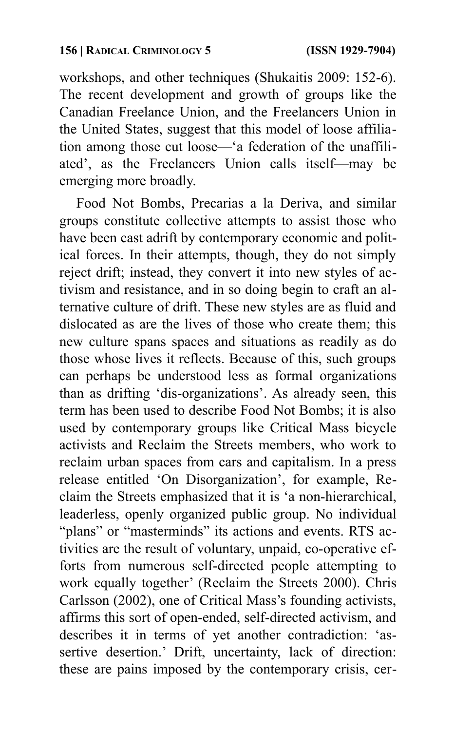workshops, and other techniques (Shukaitis 2009: 152-6). The recent development and growth of groups like the Canadian Freelance Union, and the Freelancers Union in the United States, suggest that this model of loose affiliation among those cut loose—'a federation of the unaffiliated', as the Freelancers Union calls itself—may be emerging more broadly.

Food Not Bombs, Precarias a la Deriva, and similar groups constitute collective attempts to assist those who have been cast adrift by contemporary economic and political forces. In their attempts, though, they do not simply reject drift; instead, they convert it into new styles of activism and resistance, and in so doing begin to craft an alternative culture of drift. These new styles are as fluid and dislocated as are the lives of those who create them; this new culture spans spaces and situations as readily as do those whose lives it reflects. Because of this, such groups can perhaps be understood less as formal organizations than as drifting 'dis-organizations'. As already seen, this term has been used to describe Food Not Bombs; it is also used by contemporary groups like Critical Mass bicycle activists and Reclaim the Streets members, who work to reclaim urban spaces from cars and capitalism. In a press release entitled 'On Disorganization', for example, Reclaim the Streets emphasized that it is 'a non-hierarchical, leaderless, openly organized public group. No individual "plans" or "masterminds" its actions and events. RTS activities are the result of voluntary, unpaid, co-operative efforts from numerous self-directed people attempting to work equally together' (Reclaim the Streets 2000). Chris Carlsson (2002), one of Critical Mass's founding activists, affirms this sort of open-ended, self-directed activism, and describes it in terms of yet another contradiction: 'assertive desertion.' Drift, uncertainty, lack of direction: these are pains imposed by the contemporary crisis, cer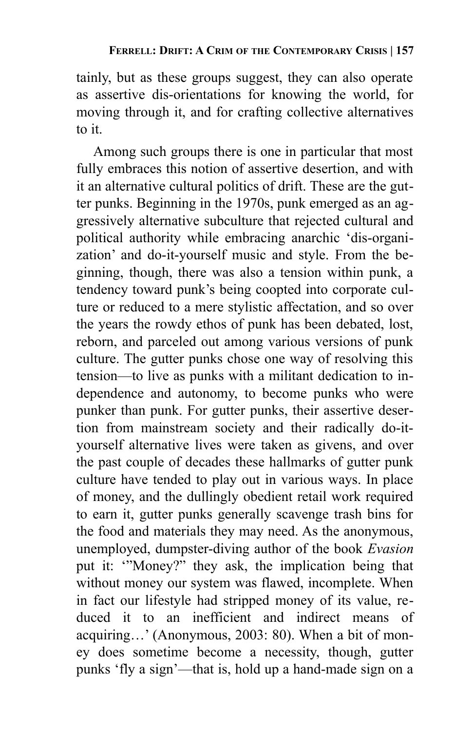tainly, but as these groups suggest, they can also operate as assertive dis-orientations for knowing the world, for moving through it, and for crafting collective alternatives to it.

Among such groups there is one in particular that most fully embraces this notion of assertive desertion, and with it an alternative cultural politics of drift. These are the gutter punks. Beginning in the 1970s, punk emerged as an aggressively alternative subculture that rejected cultural and political authority while embracing anarchic 'dis-organization' and do-it-yourself music and style. From the beginning, though, there was also a tension within punk, a tendency toward punk's being coopted into corporate culture or reduced to a mere stylistic affectation, and so over the years the rowdy ethos of punk has been debated, lost, reborn, and parceled out among various versions of punk culture. The gutter punks chose one way of resolving this tension—to live as punks with a militant dedication to independence and autonomy, to become punks who were punker than punk. For gutter punks, their assertive desertion from mainstream society and their radically do-ityourself alternative lives were taken as givens, and over the past couple of decades these hallmarks of gutter punk culture have tended to play out in various ways. In place of money, and the dullingly obedient retail work required to earn it, gutter punks generally scavenge trash bins for the food and materials they may need. As the anonymous, unemployed, dumpster-diving author of the book *Evasion* put it: '"Money?" they ask, the implication being that without money our system was flawed, incomplete. When in fact our lifestyle had stripped money of its value, reduced it to an inefficient and indirect means of acquiring…' (Anonymous, 2003: 80). When a bit of money does sometime become a necessity, though, gutter punks 'fly a sign'—that is, hold up a hand-made sign on a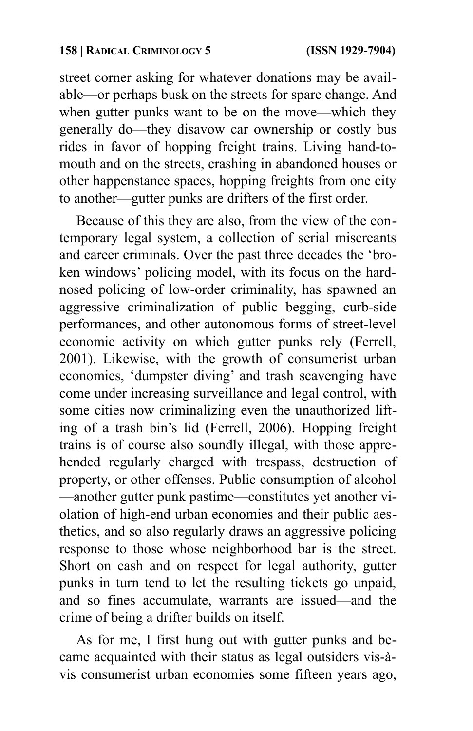street corner asking for whatever donations may be available—or perhaps busk on the streets for spare change. And when gutter punks want to be on the move—which they generally do—they disavow car ownership or costly bus rides in favor of hopping freight trains. Living hand-tomouth and on the streets, crashing in abandoned houses or other happenstance spaces, hopping freights from one city to another—gutter punks are drifters of the first order.

Because of this they are also, from the view of the contemporary legal system, a collection of serial miscreants and career criminals. Over the past three decades the 'broken windows' policing model, with its focus on the hardnosed policing of low-order criminality, has spawned an aggressive criminalization of public begging, curb-side performances, and other autonomous forms of street-level economic activity on which gutter punks rely (Ferrell, 2001). Likewise, with the growth of consumerist urban economies, 'dumpster diving' and trash scavenging have come under increasing surveillance and legal control, with some cities now criminalizing even the unauthorized lifting of a trash bin's lid (Ferrell, 2006). Hopping freight trains is of course also soundly illegal, with those apprehended regularly charged with trespass, destruction of property, or other offenses. Public consumption of alcohol —another gutter punk pastime—constitutes yet another violation of high-end urban economies and their public aesthetics, and so also regularly draws an aggressive policing response to those whose neighborhood bar is the street. Short on cash and on respect for legal authority, gutter punks in turn tend to let the resulting tickets go unpaid, and so fines accumulate, warrants are issued—and the crime of being a drifter builds on itself.

As for me, I first hung out with gutter punks and became acquainted with their status as legal outsiders vis-àvis consumerist urban economies some fifteen years ago,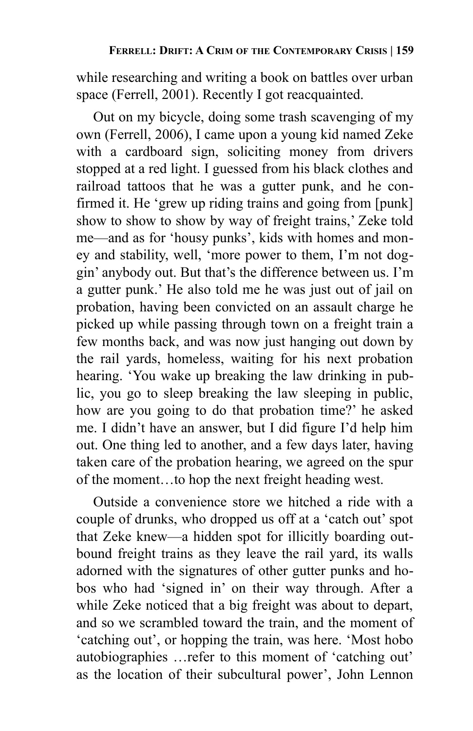while researching and writing a book on battles over urban space (Ferrell, 2001). Recently I got reacquainted.

Out on my bicycle, doing some trash scavenging of my own (Ferrell, 2006), I came upon a young kid named Zeke with a cardboard sign, soliciting money from drivers stopped at a red light. I guessed from his black clothes and railroad tattoos that he was a gutter punk, and he confirmed it. He 'grew up riding trains and going from [punk] show to show to show by way of freight trains,' Zeke told me—and as for 'housy punks', kids with homes and money and stability, well, 'more power to them, I'm not doggin' anybody out. But that's the difference between us. I'm a gutter punk.' He also told me he was just out of jail on probation, having been convicted on an assault charge he picked up while passing through town on a freight train a few months back, and was now just hanging out down by the rail yards, homeless, waiting for his next probation hearing. 'You wake up breaking the law drinking in public, you go to sleep breaking the law sleeping in public, how are you going to do that probation time?' he asked me. I didn't have an answer, but I did figure I'd help him out. One thing led to another, and a few days later, having taken care of the probation hearing, we agreed on the spur of the moment…to hop the next freight heading west.

Outside a convenience store we hitched a ride with a couple of drunks, who dropped us off at a 'catch out' spot that Zeke knew—a hidden spot for illicitly boarding outbound freight trains as they leave the rail yard, its walls adorned with the signatures of other gutter punks and hobos who had 'signed in' on their way through. After a while Zeke noticed that a big freight was about to depart, and so we scrambled toward the train, and the moment of 'catching out', or hopping the train, was here. 'Most hobo autobiographies …refer to this moment of 'catching out' as the location of their subcultural power', John Lennon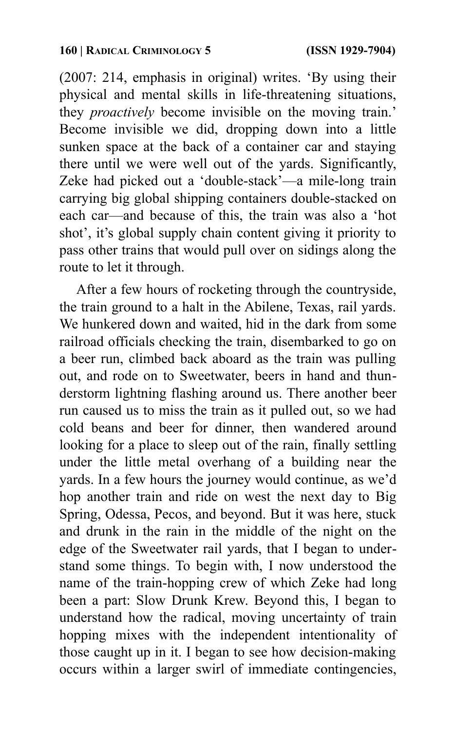(2007: 214, emphasis in original) writes. 'By using their physical and mental skills in life-threatening situations, they *proactively* become invisible on the moving train.' Become invisible we did, dropping down into a little sunken space at the back of a container car and staying there until we were well out of the yards. Significantly, Zeke had picked out a 'double-stack'—a mile-long train carrying big global shipping containers double-stacked on each car—and because of this, the train was also a 'hot shot', it's global supply chain content giving it priority to pass other trains that would pull over on sidings along the route to let it through.

After a few hours of rocketing through the countryside, the train ground to a halt in the Abilene, Texas, rail yards. We hunkered down and waited, hid in the dark from some railroad officials checking the train, disembarked to go on a beer run, climbed back aboard as the train was pulling out, and rode on to Sweetwater, beers in hand and thunderstorm lightning flashing around us. There another beer run caused us to miss the train as it pulled out, so we had cold beans and beer for dinner, then wandered around looking for a place to sleep out of the rain, finally settling under the little metal overhang of a building near the yards. In a few hours the journey would continue, as we'd hop another train and ride on west the next day to Big Spring, Odessa, Pecos, and beyond. But it was here, stuck and drunk in the rain in the middle of the night on the edge of the Sweetwater rail yards, that I began to understand some things. To begin with, I now understood the name of the train-hopping crew of which Zeke had long been a part: Slow Drunk Krew. Beyond this, I began to understand how the radical, moving uncertainty of train hopping mixes with the independent intentionality of those caught up in it. I began to see how decision-making occurs within a larger swirl of immediate contingencies,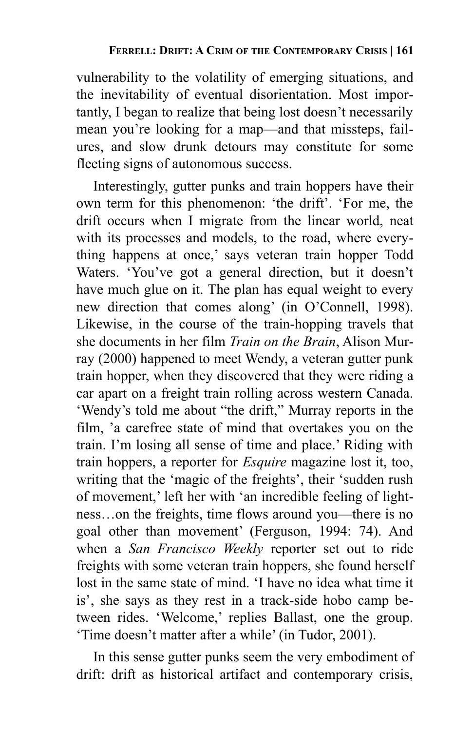vulnerability to the volatility of emerging situations, and the inevitability of eventual disorientation. Most importantly, I began to realize that being lost doesn't necessarily mean you're looking for a map—and that missteps, failures, and slow drunk detours may constitute for some fleeting signs of autonomous success.

Interestingly, gutter punks and train hoppers have their own term for this phenomenon: 'the drift'. 'For me, the drift occurs when I migrate from the linear world, neat with its processes and models, to the road, where everything happens at once,' says veteran train hopper Todd Waters. 'You've got a general direction, but it doesn't have much glue on it. The plan has equal weight to every new direction that comes along' (in O'Connell, 1998). Likewise, in the course of the train-hopping travels that she documents in her film *Train on the Brain*, Alison Murray (2000) happened to meet Wendy, a veteran gutter punk train hopper, when they discovered that they were riding a car apart on a freight train rolling across western Canada. 'Wendy's told me about "the drift," Murray reports in the film, 'a carefree state of mind that overtakes you on the train. I'm losing all sense of time and place.' Riding with train hoppers, a reporter for *Esquire* magazine lost it, too, writing that the 'magic of the freights', their 'sudden rush of movement,' left her with 'an incredible feeling of lightness…on the freights, time flows around you—there is no goal other than movement' (Ferguson, 1994: 74). And when a *San Francisco Weekly* reporter set out to ride freights with some veteran train hoppers, she found herself lost in the same state of mind. 'I have no idea what time it is', she says as they rest in a track-side hobo camp between rides. 'Welcome,' replies Ballast, one the group. 'Time doesn't matter after a while' (in Tudor, 2001).

In this sense gutter punks seem the very embodiment of drift: drift as historical artifact and contemporary crisis,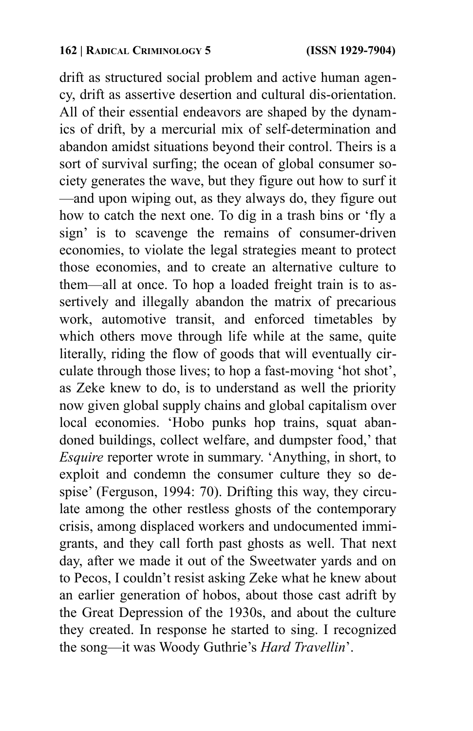drift as structured social problem and active human agency, drift as assertive desertion and cultural dis-orientation. All of their essential endeavors are shaped by the dynamics of drift, by a mercurial mix of self-determination and abandon amidst situations beyond their control. Theirs is a sort of survival surfing; the ocean of global consumer society generates the wave, but they figure out how to surf it —and upon wiping out, as they always do, they figure out how to catch the next one. To dig in a trash bins or 'fly a sign' is to scavenge the remains of consumer-driven economies, to violate the legal strategies meant to protect those economies, and to create an alternative culture to them—all at once. To hop a loaded freight train is to assertively and illegally abandon the matrix of precarious work, automotive transit, and enforced timetables by which others move through life while at the same, quite literally, riding the flow of goods that will eventually circulate through those lives; to hop a fast-moving 'hot shot', as Zeke knew to do, is to understand as well the priority now given global supply chains and global capitalism over local economies. 'Hobo punks hop trains, squat abandoned buildings, collect welfare, and dumpster food,' that *Esquire* reporter wrote in summary. 'Anything, in short, to exploit and condemn the consumer culture they so despise' (Ferguson, 1994: 70). Drifting this way, they circulate among the other restless ghosts of the contemporary crisis, among displaced workers and undocumented immigrants, and they call forth past ghosts as well. That next day, after we made it out of the Sweetwater yards and on to Pecos, I couldn't resist asking Zeke what he knew about an earlier generation of hobos, about those cast adrift by the Great Depression of the 1930s, and about the culture they created. In response he started to sing. I recognized the song—it was Woody Guthrie's *Hard Travellin*'.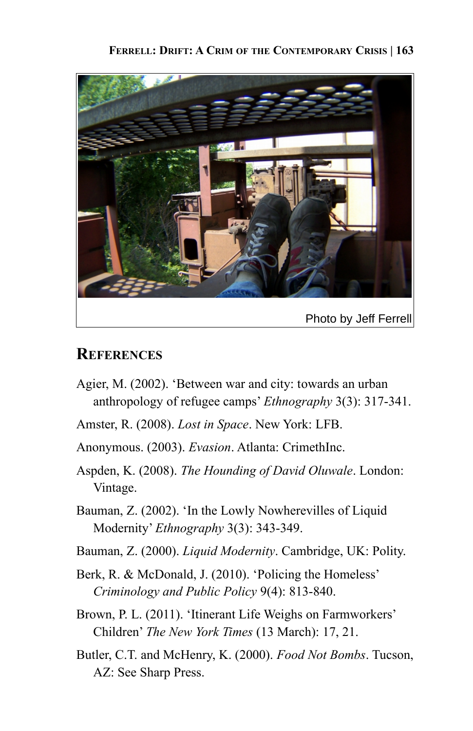#### **FERRELL: DRIFT: A CRIM OF THE CONTEMPORARY CRISIS | 163**



### **REFERENCES**

- Agier, M. (2002). 'Between war and city: towards an urban anthropology of refugee camps' *Ethnography* 3(3): 317-341.
- Amster, R. (2008). *Lost in Space*. New York: LFB.
- Anonymous. (2003). *Evasion*. Atlanta: CrimethInc.
- Aspden, K. (2008). *The Hounding of David Oluwale*. London: Vintage.
- Bauman, Z. (2002). 'In the Lowly Nowherevilles of Liquid Modernity' *Ethnography* 3(3): 343-349.
- Bauman, Z. (2000). *Liquid Modernity*. Cambridge, UK: Polity.
- Berk, R. & McDonald, J. (2010). 'Policing the Homeless' *Criminology and Public Policy* 9(4): 813-840.
- Brown, P. L. (2011). 'Itinerant Life Weighs on Farmworkers' Children' *The New York Times* (13 March): 17, 21.
- Butler, C.T. and McHenry, K. (2000). *Food Not Bombs*. Tucson, AZ: See Sharp Press.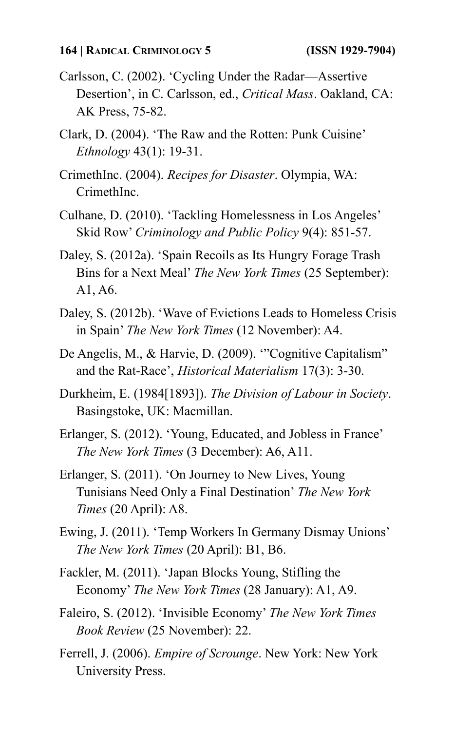- Carlsson, C. (2002). 'Cycling Under the Radar—Assertive Desertion', in C. Carlsson, ed., *Critical Mass*. Oakland, CA: AK Press, 75-82.
- Clark, D. (2004). 'The Raw and the Rotten: Punk Cuisine' *Ethnology* 43(1): 19-31.
- CrimethInc. (2004). *Recipes for Disaster*. Olympia, WA: CrimethInc.
- Culhane, D. (2010). 'Tackling Homelessness in Los Angeles' Skid Row' *Criminology and Public Policy* 9(4): 851-57.
- Daley, S. (2012a). 'Spain Recoils as Its Hungry Forage Trash Bins for a Next Meal' *The New York Times* (25 September): A1, A6.
- Daley, S. (2012b). 'Wave of Evictions Leads to Homeless Crisis in Spain' *The New York Times* (12 November): A4.
- De Angelis, M., & Harvie, D. (2009). '"Cognitive Capitalism" and the Rat-Race', *Historical Materialism* 17(3): 3-30.
- Durkheim, E. (1984[1893]). *The Division of Labour in Society*. Basingstoke, UK: Macmillan.
- Erlanger, S. (2012). 'Young, Educated, and Jobless in France' *The New York Times* (3 December): A6, A11.
- Erlanger, S. (2011). 'On Journey to New Lives, Young Tunisians Need Only a Final Destination' *The New York Times* (20 April): A8.
- Ewing, J. (2011). 'Temp Workers In Germany Dismay Unions' *The New York Times* (20 April): B1, B6.
- Fackler, M. (2011). 'Japan Blocks Young, Stifling the Economy' *The New York Times* (28 January): A1, A9.
- Faleiro, S. (2012). 'Invisible Economy' *The New York Times Book Review* (25 November): 22.
- Ferrell, J. (2006). *Empire of Scrounge*. New York: New York University Press.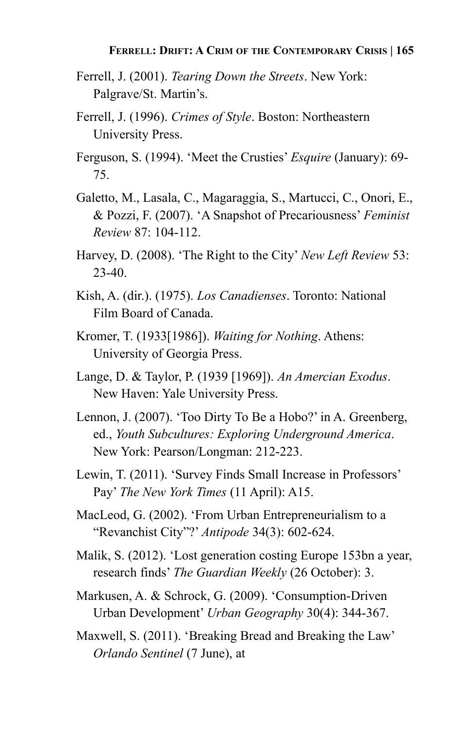- Ferrell, J. (2001). *Tearing Down the Streets*. New York: Palgrave/St. Martin's.
- Ferrell, J. (1996). *Crimes of Style*. Boston: Northeastern University Press.
- Ferguson, S. (1994). 'Meet the Crusties' *Esquire* (January): 69- 75.
- Galetto, M., Lasala, C., Magaraggia, S., Martucci, C., Onori, E., & Pozzi, F. (2007). 'A Snapshot of Precariousness' *Feminist Review* 87: 104-112.
- Harvey, D. (2008). 'The Right to the City' *New Left Review* 53: 23-40.
- Kish, A. (dir.). (1975). *Los Canadienses*. Toronto: National Film Board of Canada.
- Kromer, T. (1933[1986]). *Waiting for Nothing*. Athens: University of Georgia Press.
- Lange, D. & Taylor, P. (1939 [1969]). *An Amercian Exodus*. New Haven: Yale University Press.
- Lennon, J. (2007). 'Too Dirty To Be a Hobo?' in A. Greenberg, ed., *Youth Subcultures: Exploring Underground America*. New York: Pearson/Longman: 212-223.
- Lewin, T. (2011). 'Survey Finds Small Increase in Professors' Pay' *The New York Times* (11 April): A15.
- MacLeod, G. (2002). 'From Urban Entrepreneurialism to a "Revanchist City"?' *Antipode* 34(3): 602-624.
- Malik, S. (2012). 'Lost generation costing Europe 153bn a year, research finds' *The Guardian Weekly* (26 October): 3.
- Markusen, A. & Schrock, G. (2009). 'Consumption-Driven Urban Development' *Urban Geography* 30(4): 344-367.
- Maxwell, S. (2011). 'Breaking Bread and Breaking the Law' *Orlando Sentinel* (7 June), at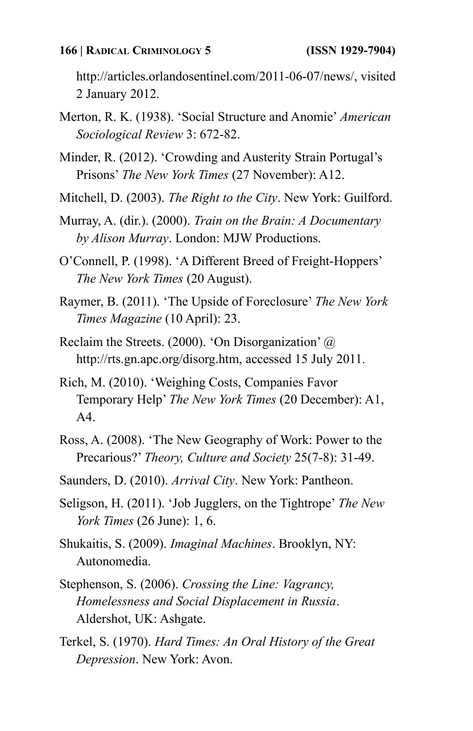#### **166 | RADICAL CRIMINOLOGY 5 (ISSN 1929-7904)**

http://articles.orlandosentinel.com/2011-06-07/news/, visited 2 January 2012.

- Merton, R. K. (1938). 'Social Structure and Anomie' *American Sociological Review* 3: 672-82.
- Minder, R. (2012). 'Crowding and Austerity Strain Portugal's Prisons' *The New York Times* (27 November): A12.
- Mitchell, D. (2003). *The Right to the City*. New York: Guilford.
- Murray, A. (dir.). (2000). *Train on the Brain: A Documentary by Alison Murray*. London: MJW Productions.
- O'Connell, P. (1998). 'A Different Breed of Freight-Hoppers' *The New York Times* (20 August).
- Raymer, B. (2011). 'The Upside of Foreclosure' *The New York Times Magazine* (10 April): 23.
- Reclaim the Streets. (2000). 'On Disorganization' @ http://rts.gn.apc.org/disorg.htm, accessed 15 July 2011.
- Rich, M. (2010). 'Weighing Costs, Companies Favor Temporary Help' *The New York Times* (20 December): A1, A4.
- Ross, A. (2008). 'The New Geography of Work: Power to the Precarious?' *Theory, Culture and Society* 25(7-8): 31-49.
- Saunders, D. (2010). *Arrival City*. New York: Pantheon.
- Seligson, H. (2011). 'Job Jugglers, on the Tightrope' *The New York Times* (26 June): 1, 6.
- Shukaitis, S. (2009). *Imaginal Machines*. Brooklyn, NY: Autonomedia.
- Stephenson, S. (2006). *Crossing the Line: Vagrancy, Homelessness and Social Displacement in Russia*. Aldershot, UK: Ashgate.
- Terkel, S. (1970). *Hard Times: An Oral History of the Great Depression*. New York: Avon.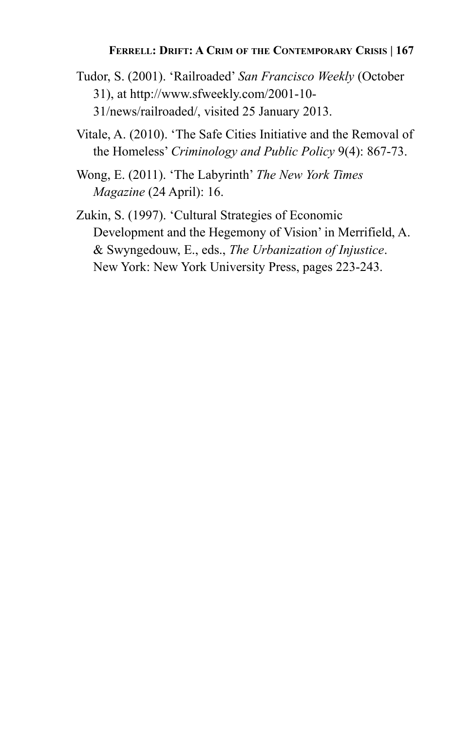#### **FERRELL: DRIFT: A CRIM OF THE CONTEMPORARY CRISIS | 167**

- Tudor, S. (2001). 'Railroaded' *San Francisco Weekly* (October 31), at http://www.sfweekly.com/2001-10- 31/news/railroaded/, visited 25 January 2013.
- Vitale, A. (2010). 'The Safe Cities Initiative and the Removal of the Homeless' *Criminology and Public Policy* 9(4): 867-73.
- Wong, E. (2011). 'The Labyrinth' *The New York Times Magazine* (24 April): 16.
- Zukin, S. (1997). 'Cultural Strategies of Economic Development and the Hegemony of Vision' in Merrifield, A. & Swyngedouw, E., eds., *The Urbanization of Injustice*. New York: New York University Press, pages 223-243.